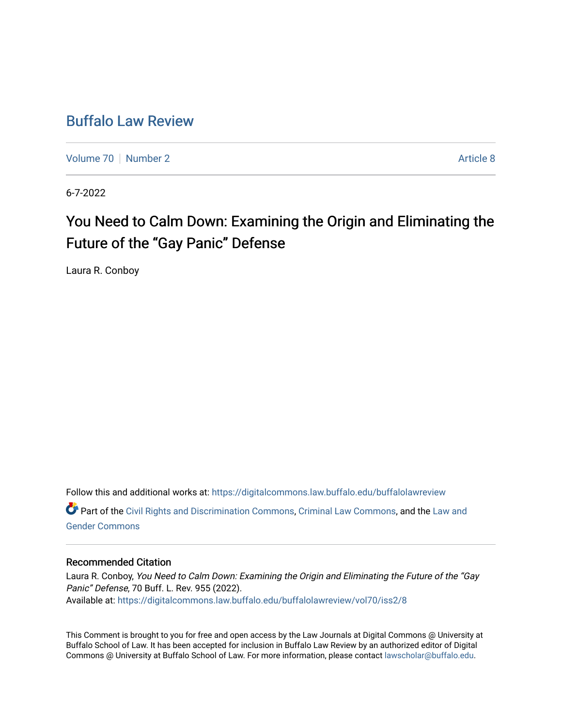## [Buffalo Law Review](https://digitalcommons.law.buffalo.edu/buffalolawreview)

[Volume 70](https://digitalcommons.law.buffalo.edu/buffalolawreview/vol70) [Number 2](https://digitalcommons.law.buffalo.edu/buffalolawreview/vol70/iss2) Article 8

6-7-2022

# You Need to Calm Down: Examining the Origin and Eliminating the Future of the "Gay Panic" Defense

Laura R. Conboy

Follow this and additional works at: [https://digitalcommons.law.buffalo.edu/buffalolawreview](https://digitalcommons.law.buffalo.edu/buffalolawreview?utm_source=digitalcommons.law.buffalo.edu%2Fbuffalolawreview%2Fvol70%2Fiss2%2F8&utm_medium=PDF&utm_campaign=PDFCoverPages)  Part of the [Civil Rights and Discrimination Commons,](https://network.bepress.com/hgg/discipline/585?utm_source=digitalcommons.law.buffalo.edu%2Fbuffalolawreview%2Fvol70%2Fiss2%2F8&utm_medium=PDF&utm_campaign=PDFCoverPages) [Criminal Law Commons,](https://network.bepress.com/hgg/discipline/912?utm_source=digitalcommons.law.buffalo.edu%2Fbuffalolawreview%2Fvol70%2Fiss2%2F8&utm_medium=PDF&utm_campaign=PDFCoverPages) and the [Law and](https://network.bepress.com/hgg/discipline/1298?utm_source=digitalcommons.law.buffalo.edu%2Fbuffalolawreview%2Fvol70%2Fiss2%2F8&utm_medium=PDF&utm_campaign=PDFCoverPages) [Gender Commons](https://network.bepress.com/hgg/discipline/1298?utm_source=digitalcommons.law.buffalo.edu%2Fbuffalolawreview%2Fvol70%2Fiss2%2F8&utm_medium=PDF&utm_campaign=PDFCoverPages) 

#### Recommended Citation

Laura R. Conboy, You Need to Calm Down: Examining the Origin and Eliminating the Future of the "Gay Panic" Defense, 70 Buff. L. Rev. 955 (2022). Available at: [https://digitalcommons.law.buffalo.edu/buffalolawreview/vol70/iss2/8](https://digitalcommons.law.buffalo.edu/buffalolawreview/vol70/iss2/8?utm_source=digitalcommons.law.buffalo.edu%2Fbuffalolawreview%2Fvol70%2Fiss2%2F8&utm_medium=PDF&utm_campaign=PDFCoverPages) 

This Comment is brought to you for free and open access by the Law Journals at Digital Commons @ University at Buffalo School of Law. It has been accepted for inclusion in Buffalo Law Review by an authorized editor of Digital Commons @ University at Buffalo School of Law. For more information, please contact [lawscholar@buffalo.edu](mailto:lawscholar@buffalo.edu).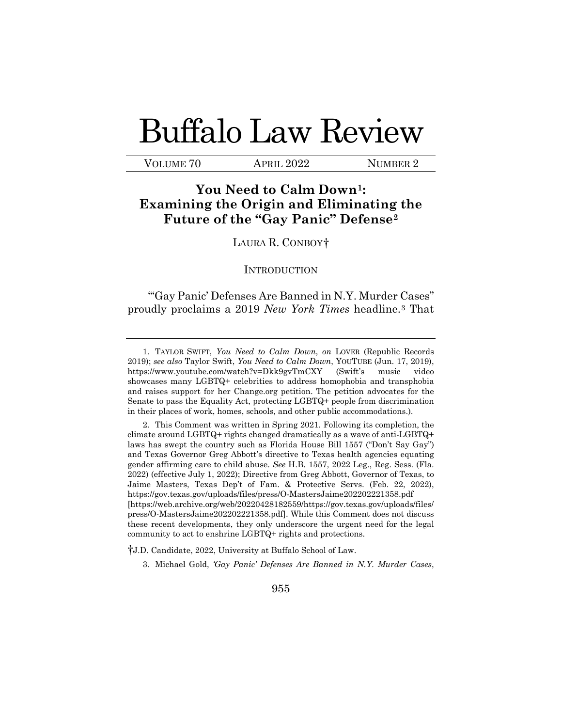# Buffalo Law Review

VOLUME 70 APRIL 2022 NUMBER 2

### **You Need to Calm Down[1:](#page-1-0) Examining the Origin and Eliminating the Future of the "Gay Panic" Defense[2](#page-1-1)**

#### LAURA R. CONBOY[†](#page-1-2)

#### **INTRODUCTION**

"'Gay Panic' Defenses Are Banned in N.Y. Murder Cases" proudly proclaims a 2019 *New York Times* headline.[3](#page-1-3) That

<span id="page-1-3"></span><span id="page-1-2"></span>†J.D. Candidate, 2022, University at Buffalo School of Law.

<span id="page-1-0"></span><sup>1.</sup> TAYLOR SWIFT, *You Need to Calm Down*, *on* LOVER (Republic Records 2019); *see also* Taylor Swift, *You Need to Calm Down*, YOUTUBE (Jun. 17, 2019), <https://www.youtube.com/watch?v=Dkk9gvTmCXY> (Swift's music video showcases many LGBTQ+ celebrities to address homophobia and transphobia and raises support for her [Change.org](https://Change.org) petition. The petition advocates for the Senate to pass the Equality Act, protecting LGBTQ+ people from discrimination in their places of work, homes, schools, and other public accommodations.).

<span id="page-1-1"></span> climate around LGBTQ+ rights changed dramatically as a wave of anti-LGBTQ+ laws has swept the country such as Florida House Bill 1557 ("Don't Say Gay") and Texas Governor Greg Abbott's directive to Texas health agencies equating gender affirming care to child abuse. *See* H.B. 1557, 2022 Leg., Reg. Sess. (Fla. Jaime Masters, Texas Dep't of Fam. & Protective Servs. (Feb. 22, 2022), 2. This Comment was written in Spring 2021. Following its completion, the 2022) (effective July 1, 2022); Directive from Greg Abbott, Governor of Texas, to <https://gov.texas.gov/uploads/files/press/O-MastersJaime202202221358.pdf> [\[https://web.archive.org/web/20220428182559/https://gov.texas.gov/uploads/files](https://web.archive.org/web/20220428182559/https://gov.texas.gov/uploads/files)/ press/O-MastersJaime202202221358.pdf]. While this Comment does not discuss these recent developments, they only underscore the urgent need for the legal community to act to enshrine LGBTQ+ rights and protections.

<sup>3.</sup> Michael Gold, *'Gay Panic' Defenses Are Banned in N.Y. Murder Cases*,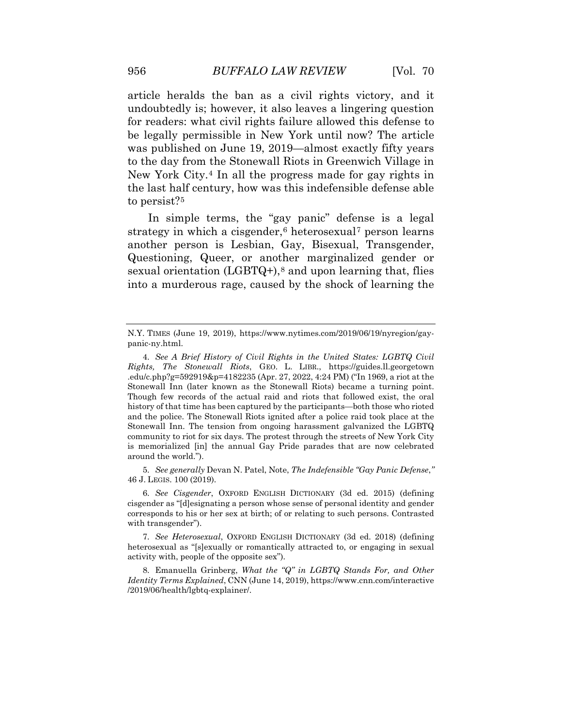for readers: what civil rights failure allowed this defense to New York City.[4](#page-2-0) In all the progress made for gay rights in article heralds the ban as a civil rights victory, and it undoubtedly is; however, it also leaves a lingering question be legally permissible in New York until now? The article was published on June 19, 2019—almost exactly fifty years to the day from the Stonewall Riots in Greenwich Village in the last half century, how was this indefensible defense able to persist?[5](#page-2-1)

sexual orientation (LGBTQ+),<sup>[8](#page-2-4)</sup> and upon learning that, flies In simple terms, the "gay panic" defense is a legal strategy in which a cisgender, $6$  heterosexual<sup>[7](#page-2-3)</sup> person learns another person is Lesbian, Gay, Bisexual, Transgender, Questioning, Queer, or another marginalized gender or into a murderous rage, caused by the shock of learning the

<span id="page-2-2"></span><span id="page-2-1"></span> 5. *See generally* Devan N. Patel, Note, *The Indefensible "Gay Panic Defense*,*"*  46 J. LEGIS. 100 (2019).

 6. *See Cisgender*, OXFORD ENGLISH DICTIONARY (3d ed. 2015) (defining corresponds to his or her sex at birth; of or relating to such persons. Contrasted cisgender as "[d]esignating a person whose sense of personal identity and gender with transgender").

<span id="page-2-3"></span> 7. *See Heterosexual*, OXFORD ENGLISH DICTIONARY (3d ed. 2018) (defining heterosexual as "[s]exually or romantically attracted to, or engaging in sexual activity with, people of the opposite sex").

<span id="page-2-4"></span> *Identity Terms Explained*, CNN (June 14, 2019),<https://www.cnn.com/interactive> 8. Emanuella Grinberg, *What the "Q" in LGBTQ Stands For, and Other*  /2019/06/health/lgbtq-explainer/.

<span id="page-2-0"></span>N.Y. TIMES (June 19, 2019), <https://www.nytimes.com/2019/06/19/nyregion/gay>panic-ny.html.

 4. *See A Brief History of Civil Rights in the United States: LGBTQ Civil Rights, The Stonewall Riots*, GEO. L. LIBR., <https://guides.ll.georgetown> .edu/c.php?g=592919&p=4182235 (Apr. 27, 2022, 4:24 PM) ("In 1969, a riot at the Though few records of the actual raid and riots that followed exist, the oral history of that time has been captured by the participants—both those who rioted community to riot for six days. The protest through the streets of New York City is memorialized [in] the annual Gay Pride parades that are now celebrated around the world."). Stonewall Inn (later known as the Stonewall Riots) became a turning point. and the police. The Stonewall Riots ignited after a police raid took place at the Stonewall Inn. The tension from ongoing harassment galvanized the LGBTQ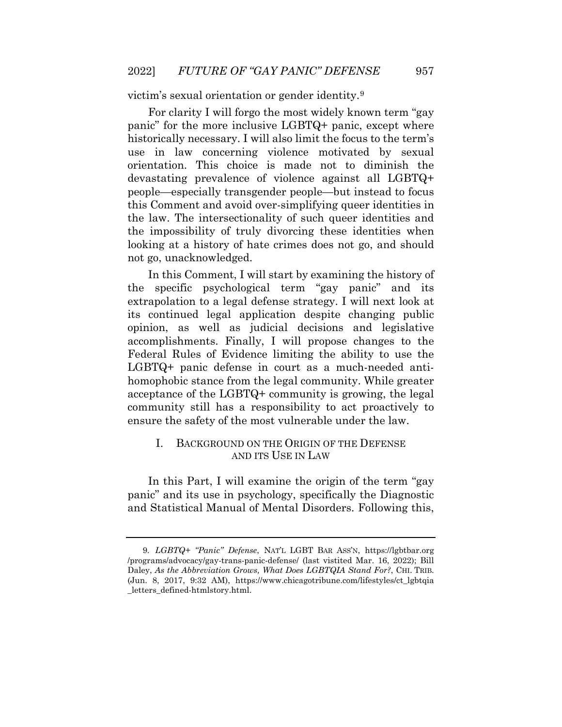victim's sexual orientation or gender identity.[9](#page-3-0) 

 people—especially transgender people—but instead to focus the impossibility of truly divorcing these identities when For clarity I will forgo the most widely known term "gay panic" for the more inclusive LGBTQ+ panic, except where historically necessary. I will also limit the focus to the term's use in law concerning violence motivated by sexual orientation. This choice is made not to diminish the devastating prevalence of violence against all LGBTQ+ this Comment and avoid over-simplifying queer identities in the law. The intersectionality of such queer identities and looking at a history of hate crimes does not go, and should not go, unacknowledged.

 the specific psychological term "gay panic" and its extrapolation to a legal defense strategy. I will next look at ensure the safety of the most vulnerable under the law. In this Comment, I will start by examining the history of its continued legal application despite changing public opinion, as well as judicial decisions and legislative accomplishments. Finally, I will propose changes to the Federal Rules of Evidence limiting the ability to use the LGBTQ+ panic defense in court as a much-needed antihomophobic stance from the legal community. While greater acceptance of the LGBTQ+ community is growing, the legal community still has a responsibility to act proactively to

#### I. BACKGROUND ON THE ORIGIN OF THE DEFENSE AND ITS USE IN LAW

In this Part, I will examine the origin of the term "gay panic" and its use in psychology, specifically the Diagnostic and Statistical Manual of Mental Disorders. Following this,

<span id="page-3-0"></span> 9. *LGBTQ+ "Panic" Defense*, NAT'L LGBT BAR ASS'N, <https://lgbtbar.org> /programs/advocacy/gay-trans-panic-defense/ (last vistited Mar. 16, 2022); Bill  Daley, *As the Abbreviation Grows, What Does LGBTQIA Stand For?*, CHI. TRIB. (Jun. 8, 2017, 9:32 AM), [https://www.chicagotribune.com/lifestyles/ct\\_lgbtqia](https://www.chicagotribune.com/lifestyles/ct_lgbtqia)  \_letters\_defined-htmlstory.html.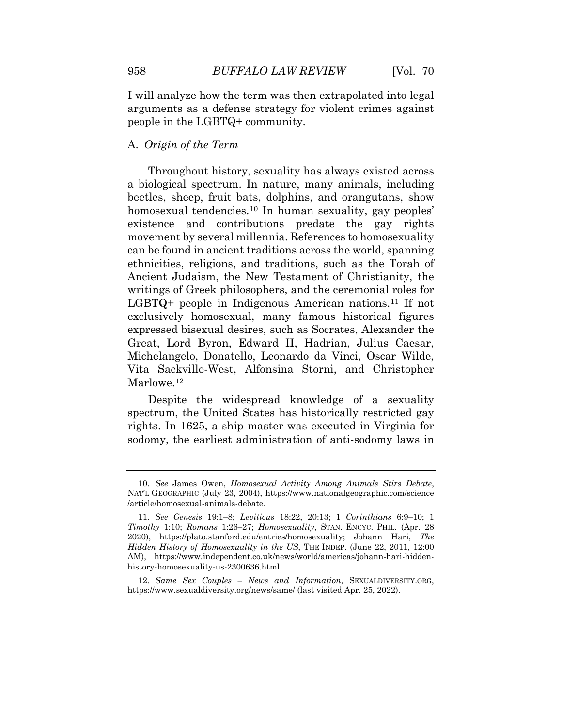I will analyze how the term was then extrapolated into legal arguments as a defense strategy for violent crimes against people in the LGBTQ+ community.

#### A. *Origin of the Term*

 a biological spectrum. In nature, many animals, including can be found in ancient traditions across the world, spanning ethnicities, religions, and traditions, such as the Torah of writings of Greek philosophers, and the ceremonial roles for Great, Lord Byron, Edward II, Hadrian, Julius Caesar, Throughout history, sexuality has always existed across beetles, sheep, fruit bats, dolphins, and orangutans, show homosexual [tendencies.](https://tendencies.10)<sup>[10](#page-4-0)</sup> In human sexuality, gay peoples' existence and contributions predate the gay rights movement by several millennia. References to homosexuality Ancient Judaism, the New Testament of Christianity, the LGBTQ+ people in Indigenous American nations.[11](#page-4-1) If not exclusively homosexual, many famous historical figures expressed bisexual desires, such as Socrates, Alexander the Michelangelo, Donatello, Leonardo da Vinci, Oscar Wilde, Vita Sackville-West, Alfonsina Storni, and Christopher Marlowe.<sup>[12](#page-4-2)</sup>

Despite the widespread knowledge of a sexuality spectrum, the United States has historically restricted gay rights. In 1625, a ship master was executed in Virginia for sodomy, the earliest administration of anti-sodomy laws in

<span id="page-4-0"></span><sup>10.</sup> *See* James Owen, *Homosexual Activity Among Animals Stirs Debate*, NAT'L GEOGRAPHIC (July 23, 2004), <https://www.nationalgeographic.com/science> /article/homosexual-animals-debate.

<span id="page-4-1"></span> 11. *See Genesis* 19:1–8; *Leviticus* 18:22, 20:13; 1 *Corinthians* 6:9–10; 1 *Timothy* 1:10; *Romans* 1:26–27; *Homosexuality*, STAN. ENCYC. PHIL. (Apr. 28  *Hidden History of Homosexuality in the US*, THE INDEP. (June 22, 2011, 12:00 2020), [https://plato.stanford.edu/entries/homosexuality;](https://plato.stanford.edu/entries/homosexuality) Johann Hari, *The*  AM), <https://www.independent.co.uk/news/world/americas/johann-hari-hidden>history-homosexuality-us-2300636.html.

<span id="page-4-2"></span> 12. *Same Sex Couples – News and Information*, [SEXUALDIVERSITY.ORG](https://SEXUALDIVERSITY.ORG), <https://www.sexualdiversity.org/news/same>/ (last visited Apr. 25, 2022).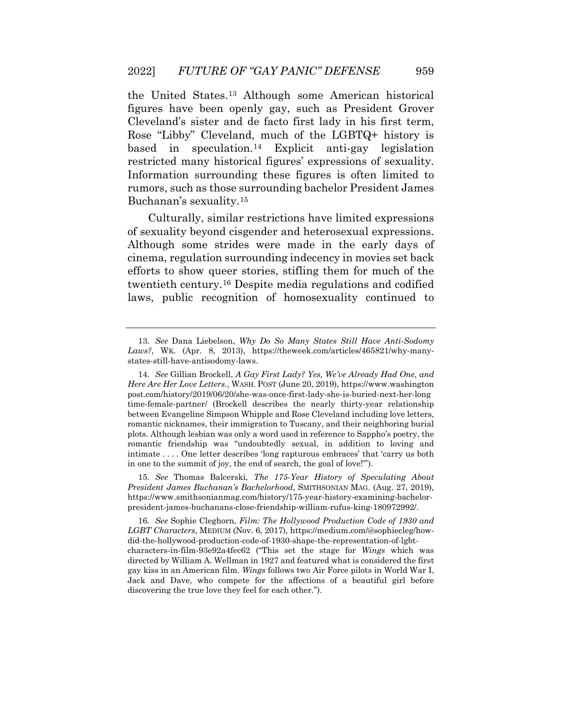figures have been openly gay, such as President Grover the United [States.](https://States.13)[13](#page-5-0) Although some American historical Cleveland's sister and de facto first lady in his first term, Rose "Libby" Cleveland, much of the LGBTQ+ history is based in speculation.<sup>[14](#page-5-1)</sup> Explicit anti-gay legislation restricted many historical figures' expressions of sexuality. Information surrounding these figures is often limited to rumors, such as those surrounding bachelor President James Buchanan's sexuality.[15](#page-5-2)

 Although some strides were made in the early days of Culturally, similar restrictions have limited expressions of sexuality beyond cisgender and heterosexual expressions. cinema, regulation surrounding indecency in movies set back efforts to show queer stories, stifling them for much of the twentieth [century.](https://century.16)[16](#page-5-3) Despite media regulations and codified laws, public recognition of homosexuality continued to

<span id="page-5-0"></span> 13. *See* Dana Liebelson, *Why Do So Many States Still Have Anti-Sodomy Laws?*, WK. (Apr. 8, 2013), <https://theweek.com/articles/465821/why-many>states-still-have-antisodomy-laws.

<span id="page-5-1"></span> *Here Are Her Love Letters.*, WASH. POST (June 20, 2019), <https://www.washington> plots. Although lesbian was only a word used in reference to Sappho's poetry, the intimate . . . . One letter describes 'long rapturous embraces' that 'carry us both 14. *See* Gillian Brockell, *A Gay First Lady? Yes, We've Already Had One, and*  [post.com/history/2019/06/20/she-was-once-first-lady-she-is-buried-next-her-long](https://post.com/history/2019/06/20/she-was-once-first-lady-she-is-buried-next-her-long)  time-female-partner/ (Brockell describes the nearly thirty-year relationship between Evangeline Simpson Whipple and Rose Cleveland including love letters, romantic nicknames, their immigration to Tuscany, and their neighboring burial romantic friendship was "undoubtedly sexual, in addition to loving and in one to the summit of joy, the end of search, the goal of love!'").

<span id="page-5-2"></span><sup>15.</sup> *See* Thomas Balcerski, *The 175-Year History of Speculating About President James Buchanan's Bachelorhood*, SMITHSONIAN MAG. (Aug. 27, 2019), <https://www.smithsonianmag.com/history/175-year-history-examining-bachelor>president-james-buchanans-close-friendship-william-rufus-king-180972992/.

<span id="page-5-3"></span> 16. *See* Sophie Cleghorn, *Film: The Hollywood Production Code of 1930 and LGBT Characters*, MEDIUM (Nov. 6, 2017),<https://medium.com/@sophiecleg/how>did-the-hollywood-production-code-of-1930-shape-the-representation-of-lgbtcharacters-in-film-93e92a4fec62 ("This set the stage for *Wings* which was directed by William A. Wellman in 1927 and featured what is considered the first gay kiss in an American film. *Wings* follows two Air Force pilots in World War I, Jack and Dave, who compete for the affections of a beautiful girl before discovering the true love they feel for each other.").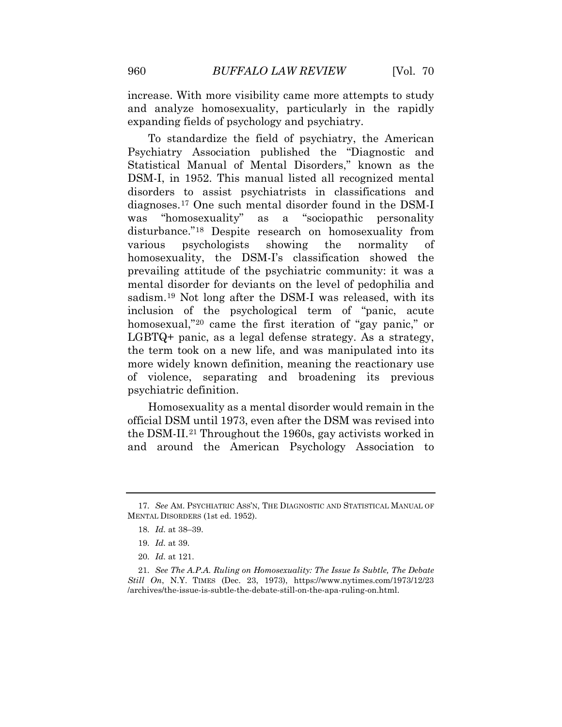increase. With more visibility came more attempts to study and analyze homosexuality, particularly in the rapidly expanding fields of psychology and psychiatry.

 prevailing attitude of the psychiatric community: it was a mental disorder for deviants on the level of pedophilia and sadism.[19](#page-6-2) Not long after the DSM-I was released, with its the term took on a new life, and was manipulated into its more widely known definition, meaning the reactionary use To standardize the field of psychiatry, the American Psychiatry Association published the "Diagnostic and Statistical Manual of Mental Disorders," known as the DSM-I, in 1952. This manual listed all recognized mental disorders to assist psychiatrists in classifications and diagnoses.[17](#page-6-0) One such mental disorder found in the DSM-I was "homosexuality" as a "sociopathic personality disturbance."[18](#page-6-1) Despite research on homosexuality from various psychologists showing the normality of homosexuality, the DSM-I's classification showed the inclusion of the psychological term of "panic, acute homosexual,"<sup>[20](#page-6-3)</sup> came the first iteration of "gay panic," or LGBTQ+ panic, as a legal defense strategy. As a strategy, of violence, separating and broadening its previous psychiatric definition.

Homosexuality as a mental disorder would remain in the official DSM until 1973, even after the DSM was revised into the DSM-II.[21](#page-6-4) Throughout the 1960s, gay activists worked in and around the American Psychology Association to

<span id="page-6-2"></span><span id="page-6-1"></span><span id="page-6-0"></span> 17. *See* AM. PSYCHIATRIC ASS'N, THE DIAGNOSTIC AND STATISTICAL MANUAL OF MENTAL DISORDERS (1st ed. 1952).

 18. *Id.* at 38–39.

 19. *Id.* at 39.

<sup>20.</sup> *Id.* at 121.

<span id="page-6-4"></span><span id="page-6-3"></span> 21. *See The A.P.A. Ruling on Homosexuality: The Issue Is Subtle, The Debate Still On*, N.Y. TIMES (Dec. 23, 1973), <https://www.nytimes.com/1973/12/23> /archives/the-issue-is-subtle-the-debate-still-on-the-apa-ruling-on.html.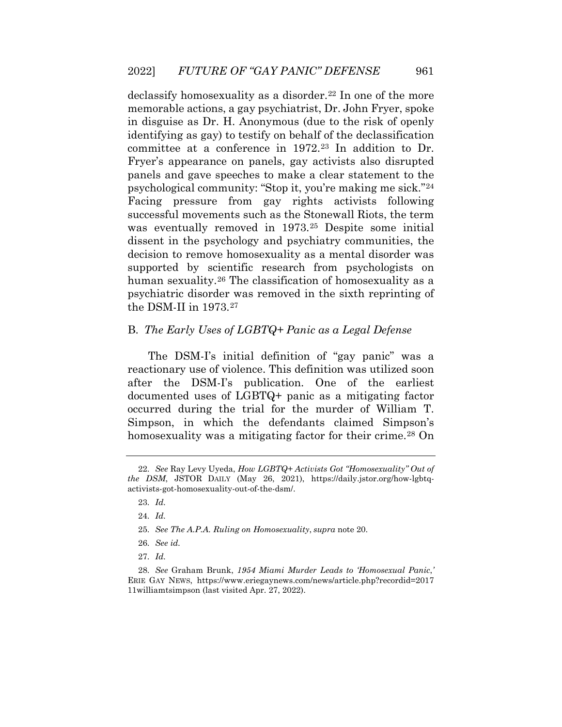declassify homosexuality as a disorder.<sup>[22](#page-7-0)</sup> In one of the more memorable actions, a gay psychiatrist, Dr. John Fryer, spoke in disguise as Dr. H. Anonymous (due to the risk of openly Facing pressure from gay rights activists following decision to remove homosexuality as a mental disorder was identifying as gay) to testify on behalf of the declassification committee at a conference in 1972.[23](#page-7-1) In addition to Dr. Fryer's appearance on panels, gay activists also disrupted panels and gave speeches to make a clear statement to the psychological community: "Stop it, you're making me sick."[24](#page-7-2) successful movements such as the Stonewall Riots, the term was eventually removed in 1973.[25](#page-7-3) Despite some initial dissent in the psychology and psychiatry communities, the supported by scientific research from psychologists on human sexuality.[26](#page-7-4) The classification of homosexuality as a psychiatric disorder was removed in the sixth reprinting of the DSM-II in 1973.[27](#page-7-5) 

#### B. *The Early Uses of LGBTQ+ Panic as a Legal Defense*

The DSM-I's initial definition of "gay panic" was a reactionary use of violence. This definition was utilized soon after the DSM-I's publication. One of the earliest documented uses of LGBTQ+ panic as a mitigating factor occurred during the trial for the murder of William T. Simpson, in which the defendants claimed Simpson's homosexuality was a mitigating factor for their crime.<sup>[28](#page-8-0)</sup> On

<span id="page-7-0"></span><sup>22.</sup> *See* Ray Levy Uyeda, *How LGBTQ+ Activists Got "Homosexuality" Out of the DSM*, JSTOR DAILY (May 26, 2021), <https://daily.jstor.org/how-lgbtq>activists-got-homosexuality-out-of-the-dsm/.

 23. *Id.* 

 24. *Id.* 

<sup>25.</sup> *See The A.P.A. Ruling on Homosexuality*, *supra* note 20.

 26. *See id.* 

<span id="page-7-5"></span><span id="page-7-4"></span><span id="page-7-3"></span><span id="page-7-2"></span><span id="page-7-1"></span><sup>28.</sup> *See* Graham Brunk, *1954 Miami Murder Leads to 'Homosexual Panic*,*'*  ERIE GAY NEWS, <https://www.eriegaynews.com/news/article.php?recordid=2017> 11williamtsimpson (last visited Apr. 27, 2022).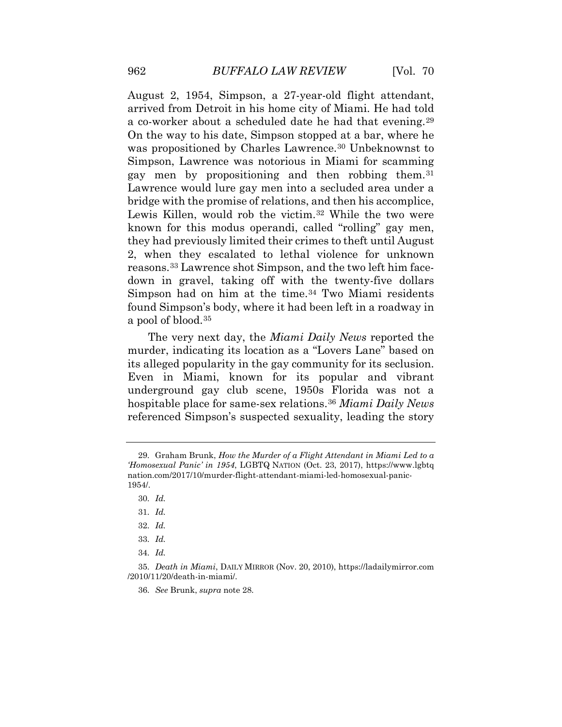was propositioned by Charles Lawrence.<sup>[30](#page-8-2)</sup> Unbeknownst to Simpson, Lawrence was notorious in Miami for scamming they had previously limited their crimes to theft until August down in gravel, taking off with the twenty-five dollars August 2, 1954, Simpson, a 27-year-old flight attendant, arrived from Detroit in his home city of Miami. He had told a co-worker about a scheduled date he had that evening.[29](#page-8-1) On the way to his date, Simpson stopped at a bar, where he gay men by propositioning and then robbing them.[31](#page-8-3) Lawrence would lure gay men into a secluded area under a bridge with the promise of relations, and then his accomplice, Lewis Killen, would rob the victim.<sup>[32](#page-8-4)</sup> While the two were known for this modus operandi, called "rolling" gay men, 2, when they escalated to lethal violence for unknown reasons.[33](#page-8-5) Lawrence shot Simpson, and the two left him face-Simpson had on him at the time.<sup>34</sup> Two Miami residents found Simpson's body, where it had been left in a roadway in a pool of blood.[35](#page-8-7)

 The very next day, the *Miami Daily News* reported the murder, indicating its location as a "Lovers Lane" based on its alleged popularity in the gay community for its seclusion. Even in Miami, known for its popular and vibrant underground gay club scene, 1950s Florida was not a hospitable place for same-sex relations.[36](#page-9-0) *Miami Daily News*  referenced Simpson's suspected sexuality, leading the story

36. *See* Brunk, *supra* note 28.

<span id="page-8-2"></span><span id="page-8-1"></span><span id="page-8-0"></span> *'Homosexual Panic' in 1954*, LGBTQ NATION (Oct. 23, 2017), <https://www.lgbtq> 29. Graham Brunk, *How the Murder of a Flight Attendant in Miami Led to a*  [nation.com/2017/10/murder-flight-attendant-miami-led-homosexual-panic](https://nation.com/2017/10/murder-flight-attendant-miami-led-homosexual-panic)-1954/.

 30. *Id.* 

 31. *Id.* 

 32. *Id.* 

 33. *Id.* 

 34. *Id.* 

<span id="page-8-7"></span><span id="page-8-6"></span><span id="page-8-5"></span><span id="page-8-4"></span><span id="page-8-3"></span> 35. *Death in Miami*, DAILY MIRROR (Nov. 20, 2010), <https://ladailymirror.com> /2010/11/20/death-in-miami/.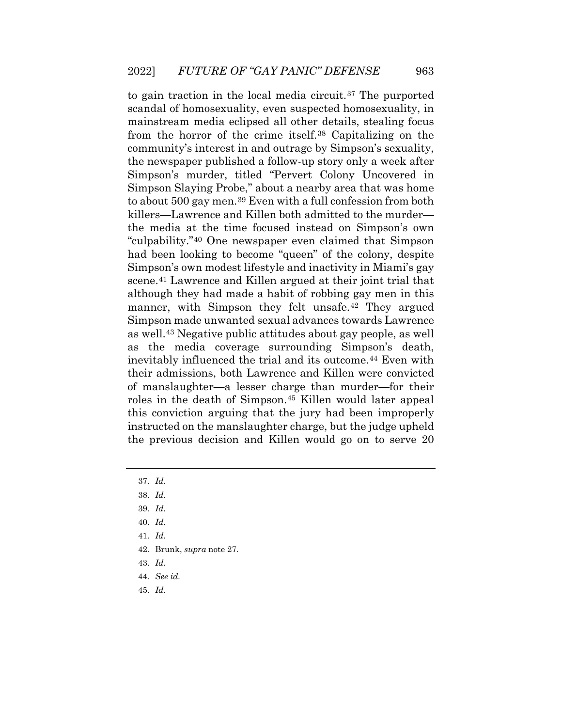mainstream media eclipsed all other details, stealing focus from the horror of the crime itself.[38](#page-9-2) Capitalizing on the community's interest in and outrage by Simpson's sexuality, to gain traction in the local media circuit.[37](#page-9-1) The purported scandal of homosexuality, even suspected homosexuality, in the newspaper published a follow-up story only a week after Simpson's murder, titled "Pervert Colony Uncovered in Simpson Slaying Probe," about a nearby area that was home to about 500 gay men.[39](#page-9-3) Even with a full confession from both killers—Lawrence and Killen both admitted to the murder the media at the time focused instead on Simpson's own "culpability."[40](#page-9-4) One newspaper even claimed that Simpson had been looking to become "queen" of the colony, despite Simpson's own modest lifestyle and inactivity in Miami's gay scene.[41](#page-9-5) Lawrence and Killen argued at their joint trial that although they had made a habit of robbing gay men in this manner, with Simpson they felt unsafe.<sup>42</sup> They argued Simpson made unwanted sexual advances towards Lawrence as well.[43](#page-9-7) Negative public attitudes about gay people, as well as the media coverage surrounding Simpson's death, inevitably influenced the trial and its outcome.[44](#page-9-8) Even with their admissions, both Lawrence and Killen were convicted of manslaughter—a lesser charge than murder—for their roles in the death of Simpson.[45](#page-10-0) Killen would later appeal this conviction arguing that the jury had been improperly instructed on the manslaughter charge, but the judge upheld the previous decision and Killen would go on to serve 20

- <span id="page-9-5"></span>41. *Id.*
- 42. Brunk, *supra* note 27.
- <span id="page-9-7"></span><span id="page-9-6"></span>43. *Id.*
- 44. *See id.*
- <span id="page-9-8"></span>45. *Id.*

<span id="page-9-0"></span> 37. *Id.* 

<span id="page-9-3"></span><span id="page-9-2"></span><span id="page-9-1"></span> 38. *Id.* 

 39. *Id.* 

<span id="page-9-4"></span> 40. *Id.*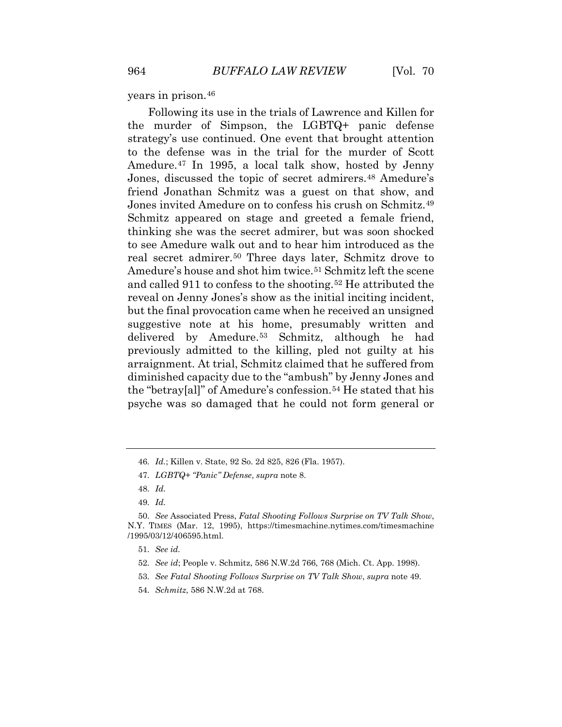years in prison.[46](#page-10-1)

 Following its use in the trials of Lawrence and Killen for diminished capacity due to the "ambush" by Jenny Jones and the murder of Simpson, the LGBTQ+ panic defense strategy's use continued. One event that brought attention to the defense was in the trial for the murder of Scott Amedure.[47](#page-10-2) In 1995, a local talk show, hosted by Jenny Jones, discussed the topic of secret admirers.[48](#page-10-3) Amedure's friend Jonathan Schmitz was a guest on that show, and Jones invited Amedure on to confess his crush on Schmitz.[49](#page-10-4) Schmitz appeared on stage and greeted a female friend, thinking she was the secret admirer, but was soon shocked to see Amedure walk out and to hear him introduced as the real secret admirer.[50](#page-10-5) Three days later, Schmitz drove to Amedure's house and shot him twice.<sup>51</sup> Schmitz left the scene and called 911 to confess to the shooting.[52](#page-10-7) He attributed the reveal on Jenny Jones's show as the initial inciting incident, but the final provocation came when he received an unsigned suggestive note at his home, presumably written and delivered by Amedure.[53](#page-10-8) Schmitz, although he had previously admitted to the killing, pled not guilty at his arraignment. At trial, Schmitz claimed that he suffered from the "betray[al]" of Amedure's confession.[54](#page-11-0) He stated that his psyche was so damaged that he could not form general or

<span id="page-10-1"></span><span id="page-10-0"></span><sup>46.</sup> *Id.*; Killen v. State, 92 So. 2d 825, 826 (Fla. 1957).

 47. *LGBTQ+ "Panic" Defense*, *supra* note 8.

 48. *Id.* 

 49. *Id.* 

<span id="page-10-7"></span><span id="page-10-6"></span><span id="page-10-5"></span><span id="page-10-4"></span><span id="page-10-3"></span><span id="page-10-2"></span><sup>50.</sup> *See* Associated Press, *Fatal Shooting Follows Surprise on TV Talk Show*, N.Y. TIMES (Mar. 12, 1995), <https://timesmachine.nytimes.com/timesmachine> /1995/03/12/406595.html.

 51. *See id.* 

 52. *See id*; People v. Schmitz, 586 N.W.2d 766, 768 (Mich. Ct. App. 1998).

 53. *See Fatal Shooting Follows Surprise on TV Talk Show*, *supra* note 49.

<span id="page-10-8"></span><sup>54.</sup> *Schmitz*, 586 N.W.2d at 768.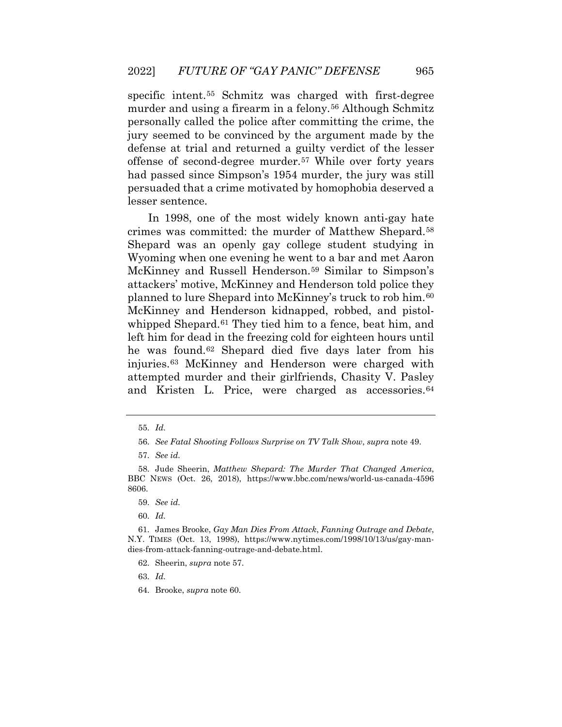murder and using a firearm in a felony.<sup>[56](#page-11-2)</sup> Although Schmitz offense of second-degree murder.[57](#page-11-3) While over forty years specific intent.[55](#page-11-1) Schmitz was charged with first-degree personally called the police after committing the crime, the jury seemed to be convinced by the argument made by the defense at trial and returned a guilty verdict of the lesser had passed since Simpson's 1954 murder, the jury was still persuaded that a crime motivated by homophobia deserved a lesser sentence.

 Wyoming when one evening he went to a bar and met Aaron In 1998, one of the most widely known anti-gay hate crimes was committed: the murder of Matthew Shepard.[58](#page-11-4) Shepard was an openly gay college student studying in McKinney and Russell Henderson.[59](#page-11-5) Similar to Simpson's attackers' motive, McKinney and Henderson told police they planned to lure Shepard into McKinney's truck to rob him.[60](#page-11-6) McKinney and Henderson kidnapped, robbed, and pistol-whipped Shepard.<sup>[61](#page-11-7)</sup> They tied him to a fence, beat him, and left him for dead in the freezing cold for eighteen hours until he was found.[62](#page-11-8) Shepard died five days later from his injuries.[63](#page-12-0) McKinney and Henderson were charged with attempted murder and their girlfriends, Chasity V. Pasley and Kristen L. Price, were charged as accessories.[64](#page-12-1)

 55. *Id.* 

 56. *See Fatal Shooting Follows Surprise on TV Talk Show*, *supra* note 49.

 57. *See id.* 

<span id="page-11-4"></span><span id="page-11-3"></span><span id="page-11-2"></span><span id="page-11-1"></span><span id="page-11-0"></span><sup>58.</sup> Jude Sheerin, *Matthew Shepard: The Murder That Changed America*, BBC NEWS (Oct. 26, 2018), <https://www.bbc.com/news/world-us-canada-4596> 8606.

 59. *See id.* 

 60. *Id.* 

<span id="page-11-8"></span><span id="page-11-7"></span><span id="page-11-6"></span><span id="page-11-5"></span> N.Y. TIMES (Oct. 13, 1998), [https://www.nytimes.com/1998/10/13/us/gay-man-](https://www.nytimes.com/1998/10/13/us/gay-man)61. James Brooke, *Gay Man Dies From Attack*, *Fanning Outrage and Debate*, dies-from-attack-fanning-outrage-and-debate.html.

<sup>62.</sup> Sheerin, *supra* note 57.

<sup>64.</sup> Brooke, *supra* note 60.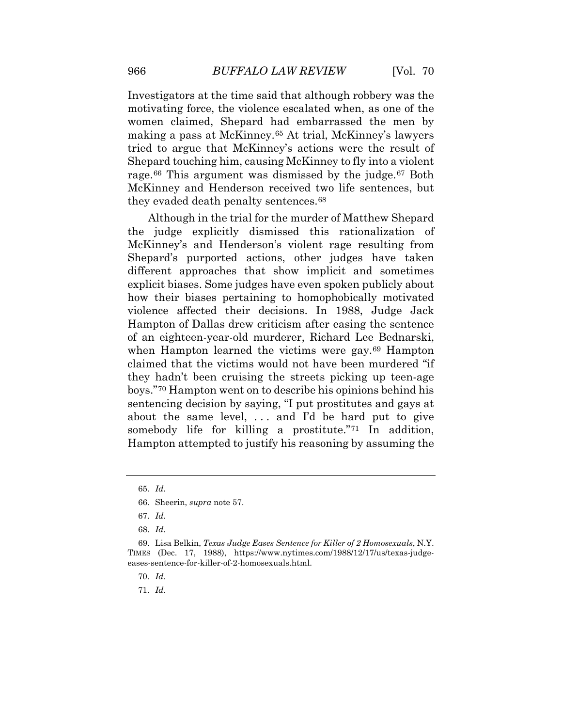Investigators at the time said that although robbery was the women claimed, Shepard had embarrassed the men by making a pass at McKinney.[65](#page-12-2) At trial, McKinney's lawyers tried to argue that McKinney's actions were the result of Shepard touching him, causing McKinney to fly into a violent motivating force, the violence escalated when, as one of the rage.<sup>[66](#page-12-3)</sup> This argument was dismissed by the judge.<sup>[67](#page-12-4)</sup> Both McKinney and Henderson received two life sentences, but they evaded death penalty sentences.[68](#page-12-5) 

 Hampton of Dallas drew criticism after easing the sentence sentencing decision by saying, "I put prostitutes and gays at about the same level, . . . and I'd be hard put to give somebody life for killing a prostitute.["71](#page-13-0) In addition, Although in the trial for the murder of Matthew Shepard the judge explicitly dismissed this rationalization of McKinney's and Henderson's violent rage resulting from Shepard's purported actions, other judges have taken different approaches that show implicit and sometimes explicit biases. Some judges have even spoken publicly about how their biases pertaining to homophobically motivated violence affected their decisions. In 1988, Judge Jack of an eighteen-year-old murderer, Richard Lee Bednarski, when Hampton learned the victims were gay.<sup>[69](#page-12-6)</sup> Hampton claimed that the victims would not have been murdered "if they hadn't been cruising the streets picking up teen-age boys."[70](#page-12-7) Hampton went on to describe his opinions behind his Hampton attempted to justify his reasoning by assuming the

70. *Id.* 

<span id="page-12-1"></span><span id="page-12-0"></span> 65. *Id.* 

<sup>66.</sup> Sheerin, *supra* note 57.

 67. *Id.* 

 68. *Id.* 

<span id="page-12-7"></span><span id="page-12-6"></span><span id="page-12-5"></span><span id="page-12-4"></span><span id="page-12-3"></span><span id="page-12-2"></span> TIMES (Dec. 17, 1988), <https://www.nytimes.com/1988/12/17/us/texas-judge>-69. Lisa Belkin, *Texas Judge Eases Sentence for Killer of 2 Homosexuals*, N.Y. eases-sentence-for-killer-of-2-homosexuals.html.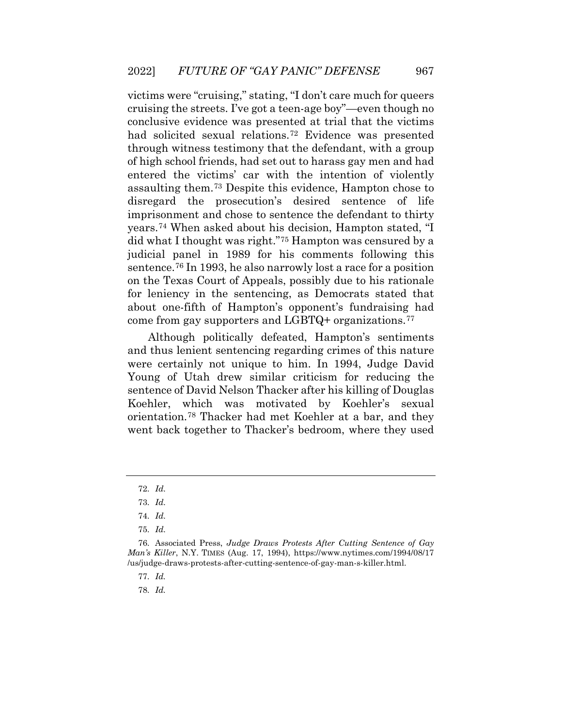victims were "cruising," stating, ''I don't care much for queers cruising the streets. I've got a teen-age boy"—even though no conclusive evidence was presented at trial that the victims had solicited sexual relations.[72](#page-13-1) Evidence was presented through witness testimony that the defendant, with a group of high school friends, had set out to harass gay men and had entered the victims' car with the intention of violently assaulting them.[73](#page-13-2) Despite this evidence, Hampton chose to disregard the prosecution's desired sentence of life imprisonment and chose to sentence the defendant to thirty years.[74](#page-13-3) When asked about his decision, Hampton stated, "I did what I thought was right."[75](#page-13-4) Hampton was censured by a judicial panel in 1989 for his comments following this sentence.[76](#page-13-5) In 1993, he also narrowly lost a race for a position on the Texas Court of Appeals, possibly due to his rationale for leniency in the sentencing, as Democrats stated that about one-fifth of Hampton's opponent's fundraising had come from gay supporters and LGBTQ+ organizations.[77](#page-13-6) 

 sentence of David Nelson Thacker after his killing of Douglas Although politically defeated, Hampton's sentiments and thus lenient sentencing regarding crimes of this nature were certainly not unique to him. In 1994, Judge David Young of Utah drew similar criticism for reducing the Koehler, which was motivated by Koehler's sexual orientation.[78](#page-14-0) Thacker had met Koehler at a bar, and they went back together to Thacker's bedroom, where they used

<span id="page-13-0"></span> 72. *Id.* 

 73. *Id.* 

 74. *Id.* 

 75. *Id.* 

<span id="page-13-6"></span><span id="page-13-5"></span><span id="page-13-4"></span><span id="page-13-3"></span><span id="page-13-2"></span><span id="page-13-1"></span> *Man's Killer*, N.Y. TIMES (Aug. 17, 1994), <https://www.nytimes.com/1994/08/17> 76. Associated Press, *Judge Draws Protests After Cutting Sentence of Gay*  /us/judge-draws-protests-after-cutting-sentence-of-gay-man-s-killer.html.

 77. *Id.*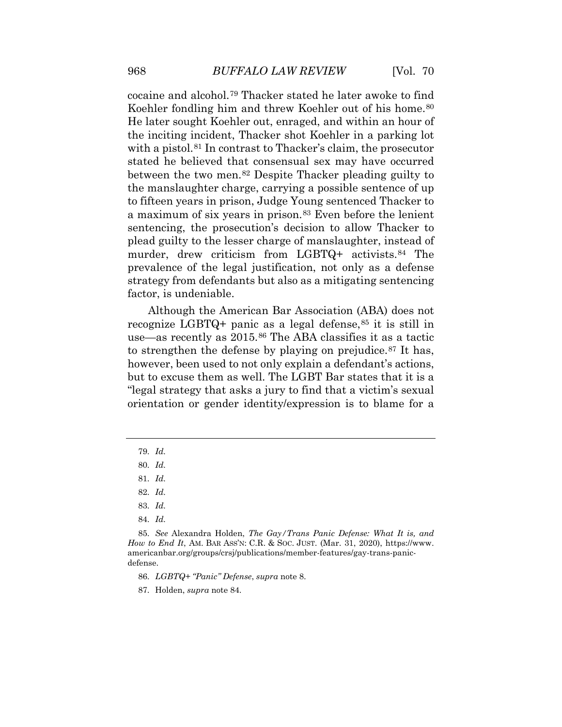to fifteen years in prison, Judge Young sentenced Thacker to strategy from defendants but also as a mitigating sentencing cocaine and alcohol.[79](#page-14-1) Thacker stated he later awoke to find Koehler fondling him and threw Koehler out of his home.<sup>[80](#page-14-2)</sup> He later sought Koehler out, enraged, and within an hour of the inciting incident, Thacker shot Koehler in a parking lot with a pistol.<sup>[81](#page-14-3)</sup> In contrast to Thacker's claim, the prosecutor stated he believed that consensual sex may have occurred between the two men.[82](#page-14-4) Despite Thacker pleading guilty to the manslaughter charge, carrying a possible sentence of up a maximum of six years in prison.[83](#page-14-5) Even before the lenient sentencing, the prosecution's decision to allow Thacker to plead guilty to the lesser charge of manslaughter, instead of murder, drew criticism from LGBTQ+ activists.<sup>[84](#page-14-6)</sup> The prevalence of the legal justification, not only as a defense factor, is undeniable.

 Although the American Bar Association (ABA) does not however, been used to not only explain a defendant's actions, recognize LGBTQ+ panic as a legal defense,  $85$  it is still in use—as recently as 2015.[86](#page-14-8) The ABA classifies it as a tactic to strengthen the defense by playing on prejudice.[87](#page-14-9) It has, but to excuse them as well. The LGBT Bar states that it is a "legal strategy that asks a jury to find that a victim's sexual orientation or gender identity/expression is to blame for a

84. *Id.* 

<span id="page-14-9"></span><span id="page-14-8"></span><span id="page-14-7"></span><span id="page-14-6"></span><span id="page-14-5"></span><span id="page-14-4"></span> *How to End It*, AM. BAR ASS'N: C.R. & SOC. JUST. (Mar. 31, 2020), <https://www>. 85. *See* Alexandra Holden, *The Gay/Trans Panic Defense: What It is, and*  [americanbar.org/groups/crsj/publications/member-features/gay-trans-panic](https://americanbar.org/groups/crsj/publications/member-features/gay-trans-panic)defense.

86. *LGBTQ+ "Panic" Defense*, *supra* note 8.

87. Holden, *supra* note 84.

<span id="page-14-2"></span><span id="page-14-1"></span><span id="page-14-0"></span> 79. *Id.* 

<span id="page-14-3"></span> 80. *Id.* 

 81. *Id.* 

 82. *Id.* 

 83. *Id.*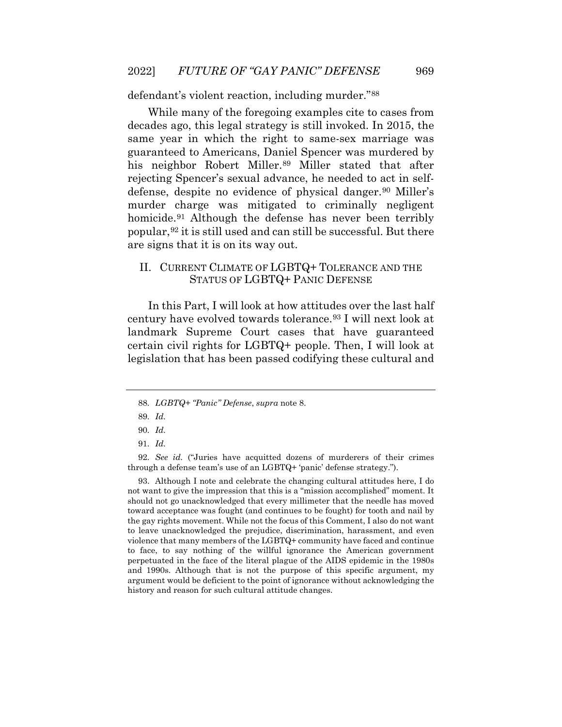defendant's violent reaction, including murder."[88](#page-15-0)

defense, despite no evidence of physical danger.<sup>[90](#page-15-2)</sup> Miller's While many of the foregoing examples cite to cases from decades ago, this legal strategy is still invoked. In 2015, the same year in which the right to same-sex marriage was guaranteed to Americans, Daniel Spencer was murdered by his neighbor Robert Miller.<sup>89</sup> Miller stated that after rejecting Spencer's sexual advance, he needed to act in selfmurder charge was mitigated to criminally negligent homicide.<sup>91</sup> Although the defense has never been terribly popular,[92](#page-15-4) it is still used and can still be successful. But there are signs that it is on its way out.

#### II. CURRENT CLIMATE OF LGBTQ+ TOLERANCE AND THE STATUS OF LGBTQ+ PANIC DEFENSE

In this Part, I will look at how attitudes over the last half century have evolved towards tolerance.[93](#page-15-5) I will next look at landmark Supreme Court cases that have guaranteed certain civil rights for LGBTQ+ people. Then, I will look at legislation that has been passed codifying these cultural and

<span id="page-15-4"></span><span id="page-15-3"></span><span id="page-15-2"></span><span id="page-15-1"></span><span id="page-15-0"></span> 92. *See id.* ("Juries have acquitted dozens of murderers of their crimes through a defense team's use of an LGBTQ+ 'panic' defense strategy.").

<span id="page-15-5"></span> not want to give the impression that this is a "mission accomplished" moment. It should not go unacknowledged that every millimeter that the needle has moved the gay rights movement. While not the focus of this Comment, I also do not want violence that many members of the LGBTQ+ community have faced and continue perpetuated in the face of the literal plague of the AIDS epidemic in the 1980s 93. Although I note and celebrate the changing cultural attitudes here, I do toward acceptance was fought (and continues to be fought) for tooth and nail by to leave unacknowledged the prejudice, discrimination, harassment, and even to face, to say nothing of the willful ignorance the American government and 1990s. Although that is not the purpose of this specific argument, my argument would be deficient to the point of ignorance without acknowledging the history and reason for such cultural attitude changes.

<sup>88.</sup> *LGBTQ+ "Panic" Defense*, *supra* note 8.

 89. *Id.* 

 90. *Id.* 

 91. *Id.*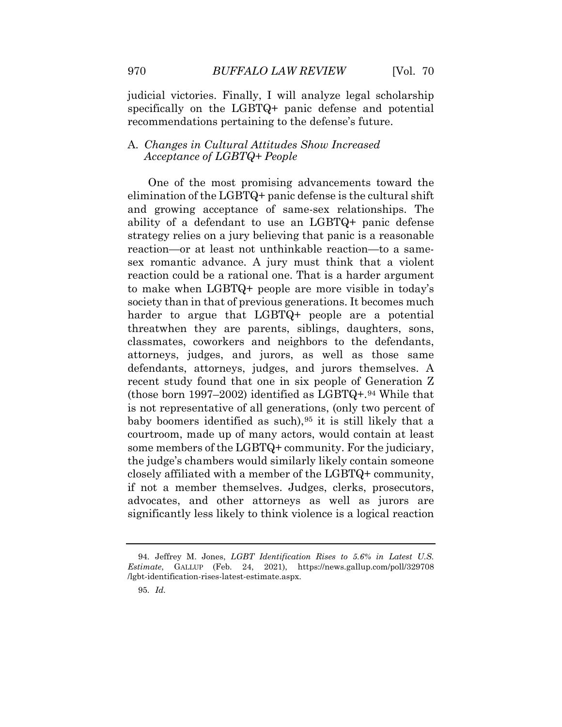judicial victories. Finally, I will analyze legal scholarship specifically on the LGBTQ+ panic defense and potential recommendations pertaining to the defense's future.

#### A. *Changes in Cultural Attitudes Show Increased Acceptance of LGBTQ+ People*

 ability of a defendant to use an LGBTQ+ panic defense to make when LGBTQ+ people are more visible in today's the judge's chambers would similarly likely contain someone significantly less likely to think violence is a logical reaction One of the most promising advancements toward the elimination of the LGBTQ+ panic defense is the cultural shift and growing acceptance of same-sex relationships. The strategy relies on a jury believing that panic is a reasonable reaction—or at least not unthinkable reaction—to a samesex romantic advance. A jury must think that a violent reaction could be a rational one. That is a harder argument society than in that of previous generations. It becomes much harder to argue that LGBTQ+ people are a potential threatwhen they are parents, siblings, daughters, sons, classmates, coworkers and neighbors to the defendants, attorneys, judges, and jurors, as well as those same defendants, attorneys, judges, and jurors themselves. A recent study found that one in six people of Generation Z (those born 1997–2002) identified as  $LGBTQ+.94$  $LGBTQ+.94$  While that is not representative of all generations, (only two percent of baby boomers identified as such),[95](#page-16-1) it is still likely that a courtroom, made up of many actors, would contain at least some members of the LGBTQ+ community. For the judiciary, closely affiliated with a member of the LGBTQ+ community, if not a member themselves. Judges, clerks, prosecutors, advocates, and other attorneys as well as jurors are

<span id="page-16-1"></span><span id="page-16-0"></span><sup>94.</sup> Jeffrey M. Jones, *LGBT Identification Rises to 5.6% in Latest U.S. Estimate*, GALLUP (Feb. 24, 2021), <https://news.gallup.com/poll/329708> /lgbt-identification-rises-latest-estimate.aspx.

 95. *Id.*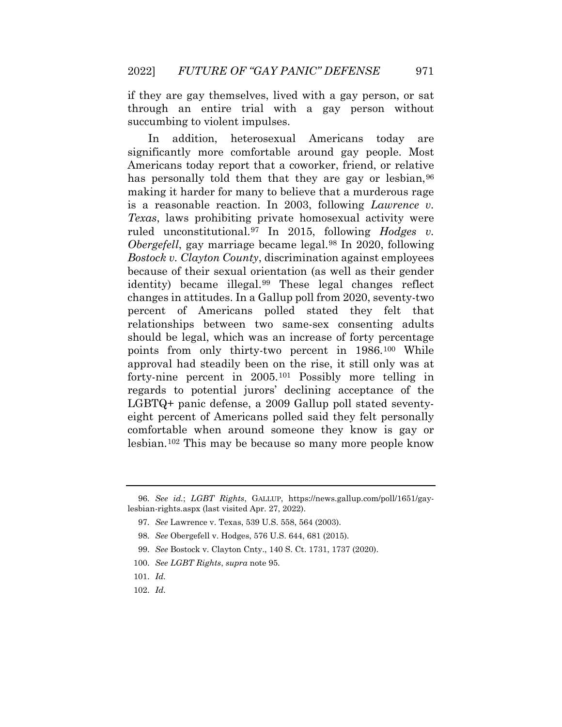through an entire trial with a gay person without if they are gay themselves, lived with a gay person, or sat succumbing to violent impulses.

 Americans today report that a coworker, friend, or relative because of their sexual orientation (as well as their gender points from only thirty-two percent in 1986.[100](#page-17-4) While regards to potential jurors' declining acceptance of the lesbian.[102](#page-18-0) This may be because so many more people know In addition, heterosexual Americans today are significantly more comfortable around gay people. Most has personally told them that they are gay or lesbian, <sup>[96](#page-17-0)</sup> making it harder for many to believe that a murderous rage is a reasonable reaction. In 2003, following *Lawrence v. Texas*, laws prohibiting private homosexual activity were ruled unconstitutional.[97](#page-17-1) In 2015, following *Hodges v. Obergefell*, gay marriage became legal.[98](#page-17-2) In 2020, following *Bostock v. Clayton County*, discrimination against employees identity) became illegal.[99](#page-17-3) These legal changes reflect changes in attitudes. In a Gallup poll from 2020, seventy-two percent of Americans polled stated they felt that relationships between two same-sex consenting adults should be legal, which was an increase of forty percentage approval had steadily been on the rise, it still only was at forty-nine percent in 2005.[101](#page-17-5) Possibly more telling in LGBTQ+ panic defense, a 2009 Gallup poll stated seventyeight percent of Americans polled said they felt personally comfortable when around someone they know is gay or

<span id="page-17-2"></span><span id="page-17-1"></span><span id="page-17-0"></span><sup>96.</sup> *See id.*; *LGBT Rights*, GALLUP, <https://news.gallup.com/poll/1651/gay>lesbian-rights.aspx (last visited Apr. 27, 2022).

<sup>97.</sup> *See* Lawrence v. Texas, 539 U.S. 558, 564 (2003).

<sup>98.</sup> *See* Obergefell v. Hodges, 576 U.S. 644, 681 (2015).

<sup>99.</sup> *See* Bostock v. Clayton Cnty., 140 S. Ct. 1731, 1737 (2020).

<span id="page-17-3"></span> 100. *See LGBT Rights*, *supra* note 95.

<span id="page-17-5"></span><span id="page-17-4"></span> 101. *Id.*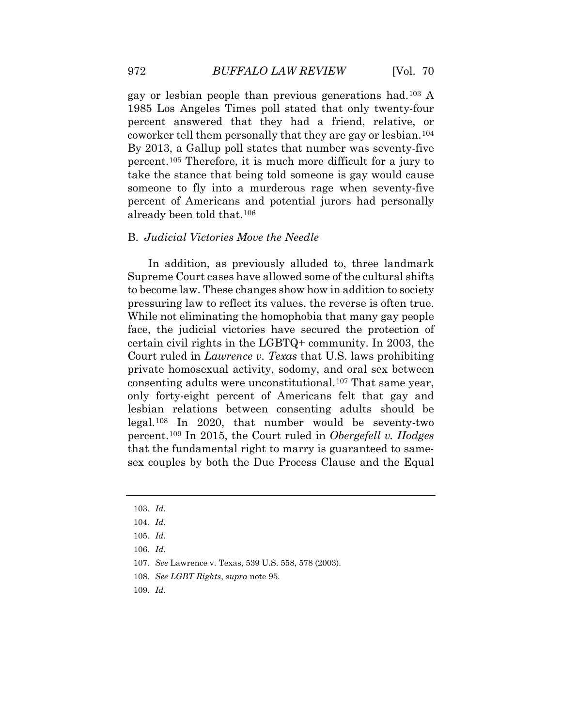percent.[105](#page-18-3) Therefore, it is much more difficult for a jury to take the stance that being told someone is gay would cause gay or lesbian people than previous generations had.[103](#page-18-1) A 1985 Los Angeles Times poll stated that only twenty-four percent answered that they had a friend, relative, or coworker tell them personally that they are gay or lesbian.[104](#page-18-2) By 2013, a Gallup poll states that number was seventy-five someone to fly into a murderous rage when seventy-five percent of Americans and potential jurors had personally already been told that.[106](#page-18-4) 

#### B. *Judicial Victories Move the Needle*

 to become law. These changes show how in addition to society only forty-eight percent of Americans felt that gay and percent.[109](#page-19-1) In 2015, the Court ruled in *Obergefell v. Hodges*  In addition, as previously alluded to, three landmark Supreme Court cases have allowed some of the cultural shifts pressuring law to reflect its values, the reverse is often true. While not eliminating the homophobia that many gay people face, the judicial victories have secured the protection of certain civil rights in the LGBTQ+ community. In 2003, the Court ruled in *Lawrence v. Texas* that U.S. laws prohibiting private homosexual activity, sodomy, and oral sex between consenting adults were unconstitutional.[107](#page-18-5) That same year, lesbian relations between consenting adults should be legal.[108](#page-19-0) In 2020, that number would be seventy-two that the fundamental right to marry is guaranteed to samesex couples by both the Due Process Clause and the Equal

 103. *Id.* 

<span id="page-18-1"></span><span id="page-18-0"></span> 104. *Id.* 

<span id="page-18-2"></span> 105. *Id.* 

<span id="page-18-3"></span> 106. *Id.* 

<span id="page-18-4"></span><sup>107.</sup> *See* Lawrence v. Texas, 539 U.S. 558, 578 (2003).

<span id="page-18-5"></span> 108. *See LGBT Rights*, *supra* note 95.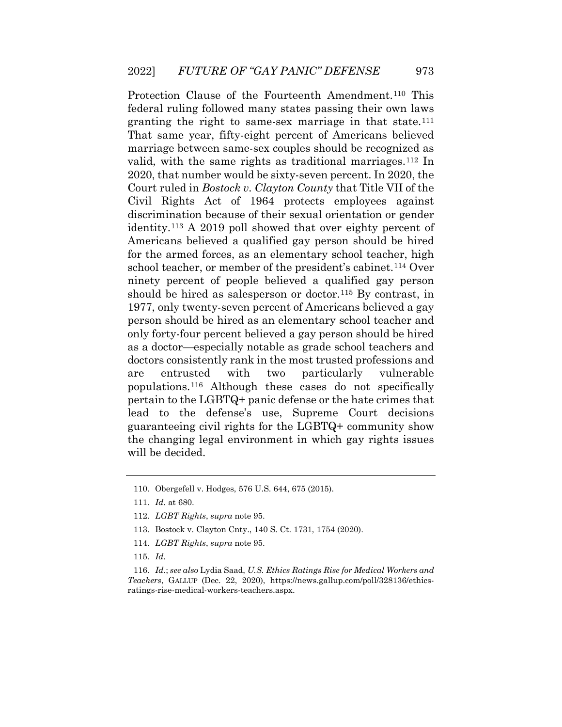That same year, fifty-eight percent of Americans believed Civil Rights Act of 1964 protects employees against discrimination because of their sexual orientation or gender pertain to the LGBTQ+ panic defense or the hate crimes that Protection Clause of the Fourteenth Amendment.[110](#page-19-2) This federal ruling followed many states passing their own laws granting the right to same-sex marriage in that state.[111](#page-19-3) marriage between same-sex couples should be recognized as valid, with the same rights as traditional marriages.<sup>112</sup> In 2020, that number would be sixty-seven percent. In 2020, the Court ruled in *Bostock v. Clayton County* that Title VII of the identity.[113](#page-19-5) A 2019 poll showed that over eighty percent of Americans believed a qualified gay person should be hired for the armed forces, as an elementary school teacher, high school teacher, or member of the president's cabinet.[114](#page-19-6) Over ninety percent of people believed a qualified gay person should be hired as salesperson or doctor.<sup>[115](#page-19-7)</sup> By contrast, in 1977, only twenty-seven percent of Americans believed a gay person should be hired as an elementary school teacher and only forty-four percent believed a gay person should be hired as a doctor—especially notable as grade school teachers and doctors consistently rank in the most trusted professions and are entrusted with two particularly vulnerable populations.[116](#page-20-0) Although these cases do not specifically lead to the defense's use, Supreme Court decisions guaranteeing civil rights for the LGBTQ+ community show the changing legal environment in which gay rights issues will be decided.

<span id="page-19-1"></span><span id="page-19-0"></span><sup>110.</sup> Obergefell v. Hodges, 576 U.S. 644, 675 (2015).

 111. *Id.* at 680.

<span id="page-19-3"></span><span id="page-19-2"></span><sup>112.</sup> *LGBT Rights*, *supra* note 95.

<sup>113.</sup> Bostock v. Clayton Cnty., 140 S. Ct. 1731, 1754 (2020).

<sup>114.</sup> *LGBT Rights*, *supra* note 95.

 115. *Id.* 

<span id="page-19-7"></span><span id="page-19-6"></span><span id="page-19-5"></span><span id="page-19-4"></span> 116. *Id.*; *see also* Lydia Saad, *U.S. Ethics Ratings Rise for Medical Workers and Teachers*, GALLUP (Dec. 22, 2020), <https://news.gallup.com/poll/328136/ethics>ratings-rise-medical-workers-teachers.aspx.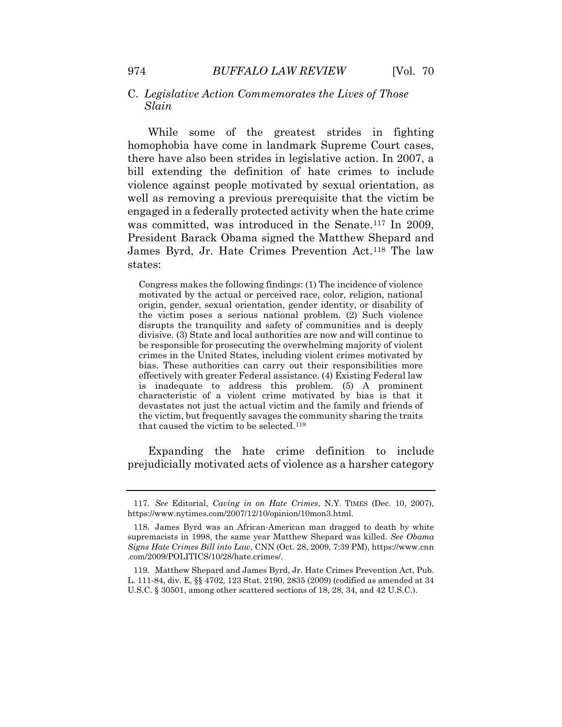#### C. *Legislative Action Commemorates the Lives of Those Slain*

 President Barack Obama signed the Matthew Shepard and While some of the greatest strides in fighting homophobia have come in landmark Supreme Court cases, there have also been strides in legislative action. In 2007, a bill extending the definition of hate crimes to include violence against people motivated by sexual orientation, as well as removing a previous prerequisite that the victim be engaged in a federally protected activity when the hate crime was committed, was introduced in the Senate.[117](#page-20-1) In 2009, James Byrd, Jr. Hate Crimes Prevention Act.[118](#page-20-2) The law states:

 Congress makes the following findings: (1) The incidence of violence motivated by the actual or perceived race, color, religion, national disrupts the tranquility and safety of communities and is deeply divisive. (3) State and local authorities are now and will continue to be responsible for prosecuting the overwhelming majority of violent crimes in the United States, including violent crimes motivated by effectively with greater Federal assistance. (4) Existing Federal law devastates not just the actual victim and the family and friends of the victim, but frequently savages the community sharing the traits that caused the victim to be selected.[11](#page-21-0)9 origin, gender, sexual orientation, gender identity, or disability of the victim poses a serious national problem. (2) Such violence bias. These authorities can carry out their responsibilities more is inadequate to address this problem. (5) A prominent characteristic of a violent crime motivated by bias is that it

Expanding the hate crime definition to include prejudicially motivated acts of violence as a harsher category

<span id="page-20-0"></span> 117. *See* Editorial, *Caving in on Hate Crimes*, N.Y. TIMES (Dec. 10, 2007), [https://www.nytimes.com/2007/12/10/opinion/10mon3.html.](https://www.nytimes.com/2007/12/10/opinion/10mon3.html)

<span id="page-20-2"></span><span id="page-20-1"></span><sup>118.</sup> James Byrd was an African-American man dragged to death by white supremacists in 1998, the same year Matthew Shepard was killed. *See Obama Signs Hate Crimes Bill into Law*, CNN (Oct. 28, 2009, 7:39 PM),<https://www.cnn> .com/2009/POLITICS/10/28/hate.crimes/.

 L. 111-84, div. E, §§ 4702, 123 Stat. 2190, 2835 (2009) (codified as amended at 34 U.S.C. § 30501, among other scattered sections of 18, 28, 34, and 42 U.S.C.). 119. Matthew Shepard and James Byrd, Jr. Hate Crimes Prevention Act, Pub.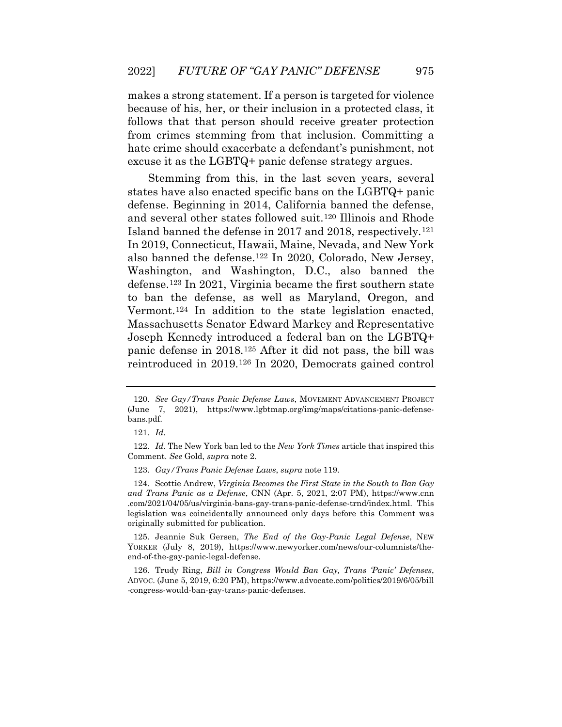follows that that person should receive greater protection makes a strong statement. If a person is targeted for violence because of his, her, or their inclusion in a protected class, it from crimes stemming from that inclusion. Committing a hate crime should exacerbate a defendant's punishment, not excuse it as the LGBTQ+ panic defense strategy argues.

 and several other states followed suit.[120](#page-21-1) Illinois and Rhode Stemming from this, in the last seven years, several states have also enacted specific bans on the LGBTQ+ panic defense. Beginning in 2014, California banned the defense, Island banned the defense in 2017 and 2018, respectively.[121](#page-21-2) In 2019, Connecticut, Hawaii, Maine, Nevada, and New York also banned the defense.[122](#page-21-3) In 2020, Colorado, New Jersey, Washington, and Washington, D.C., also banned the defense.[123](#page-21-4) In 2021, Virginia became the first southern state to ban the defense, as well as Maryland, Oregon, and Vermont.[124](#page-21-5) In addition to the state legislation enacted, Massachusetts Senator Edward Markey and Representative Joseph Kennedy introduced a federal ban on the LGBTQ+ panic defense in 2018.[125](#page-22-0) After it did not pass, the bill was reintroduced in 2019.[126](#page-22-1) In 2020, Democrats gained control

<sup>120.</sup> *See Gay/Trans Panic Defense Laws*, MOVEMENT ADVANCEMENT PROJECT (June 7, 2021), <https://www.lgbtmap.org/img/maps/citations-panic-defense>bans.pdf.

 121. *Id.* 

<span id="page-21-0"></span><sup>122.</sup> *Id.* The New York ban led to the *New York Times* article that inspired this Comment. *See* Gold, *supra* note 2.

 123. *Gay/Trans Panic Defense Laws*, *supra* note 119.

<span id="page-21-1"></span> .com/2021/04/05/us/virginia-bans-gay-trans-panic-defense-trnd/index.html. This legislation was coincidentally announced only days before this Comment was 124. Scottie Andrew, *Virginia Becomes the First State in the South to Ban Gay and Trans Panic as a Defense*, CNN (Apr. 5, 2021, 2:07 PM), <https://www.cnn> originally submitted for publication.

<span id="page-21-3"></span><span id="page-21-2"></span><sup>125.</sup> Jeannie Suk Gersen, *The End of the Gay-Panic Legal Defense*, NEW YORKER (July 8, 2019), <https://www.newyorker.com/news/our-columnists/the>end-of-the-gay-panic-legal-defense.

<span id="page-21-5"></span><span id="page-21-4"></span> ADVOC. (June 5, 2019, 6:20 PM),<https://www.advocate.com/politics/2019/6/05/bill> 126. Trudy Ring, *Bill in Congress Would Ban Gay, Trans 'Panic' Defenses*, -congress-would-ban-gay-trans-panic-defenses.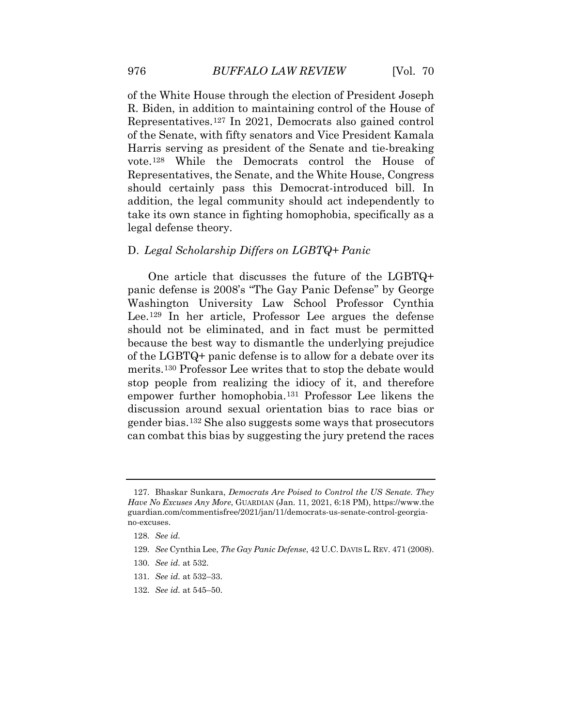of the Senate, with fifty senators and Vice President Kamala should certainly pass this Democrat-introduced bill. In of the White House through the election of President Joseph R. Biden, in addition to maintaining control of the House of Representatives.[127](#page-22-2) In 2021, Democrats also gained control Harris serving as president of the Senate and tie-breaking vote.[128](#page-22-3) While the Democrats control the House of Representatives, the Senate, and the White House, Congress addition, the legal community should act independently to take its own stance in fighting homophobia, specifically as a legal defense theory.

#### D. *Legal Scholarship Differs on LGBTQ+ Panic*

One article that discusses the future of the LGBTQ+ panic defense is 2008's "The Gay Panic Defense" by George Washington University Law School Professor Cynthia Lee.[129](#page-22-4) In her article, Professor Lee argues the defense should not be eliminated, and in fact must be permitted because the best way to dismantle the underlying prejudice of the LGBTQ+ panic defense is to allow for a debate over its merits.[130](#page-23-0) Professor Lee writes that to stop the debate would stop people from realizing the idiocy of it, and therefore empower further homophobia.[131](#page-23-1) Professor Lee likens the discussion around sexual orientation bias to race bias or gender bias.[132](#page-23-2) She also suggests some ways that prosecutors can combat this bias by suggesting the jury pretend the races

- <span id="page-22-4"></span>131. *See id.* at 532–33.
- 132. *See id.* at 545–50.

<span id="page-22-2"></span><span id="page-22-1"></span><span id="page-22-0"></span> *Have No Excuses Any More*, GUARDIAN (Jan. 11, 2021, 6:18 PM), <https://www.the> 127. Bhaskar Sunkara, *Democrats Are Poised to Control the US Senate. They*  [guardian.com/commentisfree/2021/jan/11/democrats-us-senate-control-georgia](https://guardian.com/commentisfree/2021/jan/11/democrats-us-senate-control-georgia)no-excuses.

 128. *See id.* 

<span id="page-22-3"></span><sup>129.</sup> *See* Cynthia Lee, *The Gay Panic Defense*, 42 U.C. DAVIS L. REV. 471 (2008).

 130. *See id.* at 532.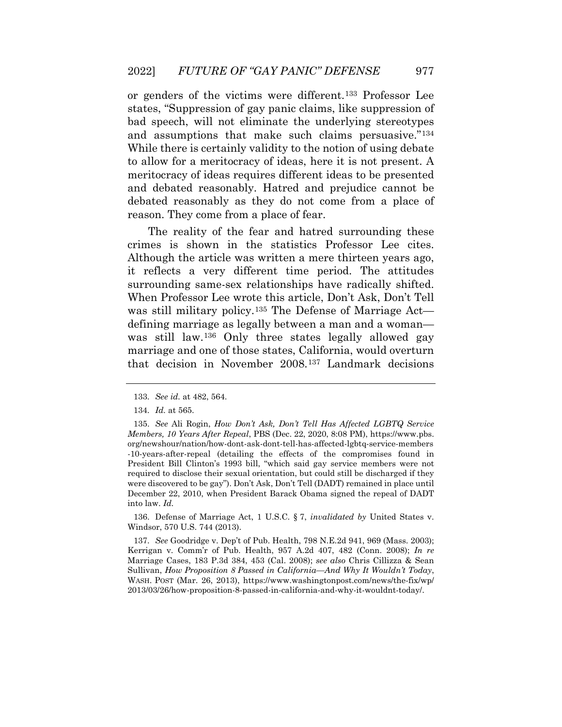debated reasonably as they do not come from a place of or genders of the victims were different.[133](#page-23-3) Professor Lee states, "Suppression of gay panic claims, like suppression of bad speech, will not eliminate the underlying stereotypes and assumptions that make such claims persuasive."[134](#page-23-4) While there is certainly validity to the notion of using debate to allow for a meritocracy of ideas, here it is not present. A meritocracy of ideas requires different ideas to be presented and debated reasonably. Hatred and prejudice cannot be reason. They come from a place of fear.

 it reflects a very different time period. The attitudes When Professor Lee wrote this article, Don't Ask, Don't Tell The reality of the fear and hatred surrounding these crimes is shown in the statistics Professor Lee cites. Although the article was written a mere thirteen years ago, surrounding same-sex relationships have radically shifted. was still military policy.<sup>[135](#page-23-5)</sup> The Defense of Marriage Act defining marriage as legally between a man and a woman was still law.[136](#page-24-0) Only three states legally allowed gay marriage and one of those states, California, would overturn that decision in November 2008.[137](#page-24-1) Landmark decisions

<span id="page-23-5"></span><span id="page-23-4"></span><span id="page-23-3"></span><span id="page-23-2"></span>136. Defense of Marriage Act, 1 U.S.C. § 7, *invalidated by* United States v. Windsor, 570 U.S. 744 (2013).

 137. *See* Goodridge v. Dep't of Pub. Health, 798 N.E.2d 941, 969 (Mass. 2003); Marriage Cases, 183 P.3d 384, 453 (Cal. 2008); *see also* Chris Cillizza & Sean  Sullivan, *How Proposition 8 Passed in California—And Why It Wouldn't Today*, Kerrigan v. Comm'r of Pub. Health, 957 A.2d 407, 482 (Conn. 2008); *In re*  WASH. POST (Mar. 26, 2013), [https://www.washingtonpost.com/news/the-fix/wp/](https://www.washingtonpost.com/news/the-fix/wp) 2013/03/26/how-proposition-8-passed-in-california-and-why-it-wouldnt-today/.

 133. *See id.* at 482, 564.

<sup>134.</sup> *Id.* at 565.

<span id="page-23-1"></span><span id="page-23-0"></span> 135. *See* Ali Rogin, *How Don't Ask, Don't Tell Has Affected LGBTQ Service*  -10-years-after-repeal (detailing the effects of the compromises found in President Bill Clinton's 1993 bill, "which said gay service members were not required to disclose their sexual orientation, but could still be discharged if they were discovered to be gay"). Don't Ask, Don't Tell (DADT) remained in place until December 22, 2010, when President Barack Obama signed the repeal of DADT *Members, 10 Years After Repeal*, PBS (Dec. 22, 2020, 8:08 PM), [https://www.pbs.](https://www.pbs) org/newshour/nation/how-dont-ask-dont-tell-has-affected-lgbtq-service-members into law. *Id.*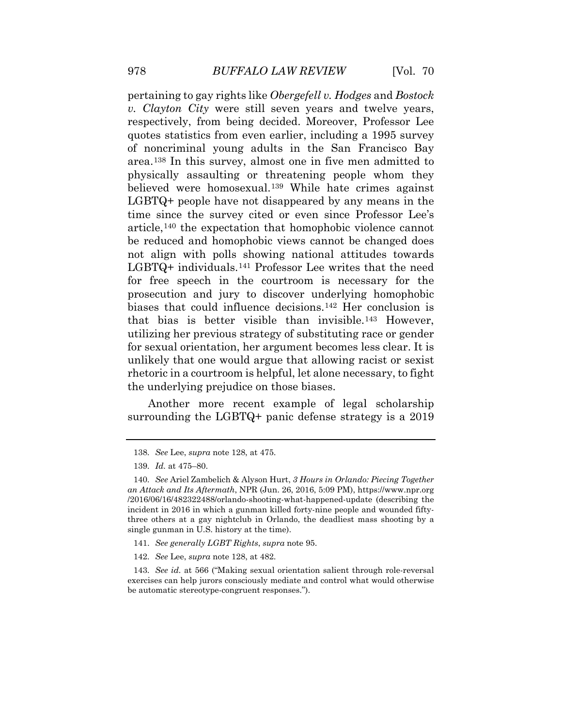believed were homosexual.[139](#page-24-3) While hate crimes against not align with polls showing national attitudes towards that bias is better visible than invisible.[143](#page-25-1) However, rhetoric in a courtroom is helpful, let alone necessary, to fight pertaining to gay rights like *Obergefell v. Hodges* and *Bostock v. Clayton City* were still seven years and twelve years, respectively, from being decided. Moreover, Professor Lee quotes statistics from even earlier, including a 1995 survey of noncriminal young adults in the San Francisco Bay area.[138](#page-24-2) In this survey, almost one in five men admitted to physically assaulting or threatening people whom they LGBTQ+ people have not disappeared by any means in the time since the survey cited or even since Professor Lee's article,[140](#page-24-4) the expectation that homophobic violence cannot be reduced and homophobic views cannot be changed does LGBTQ+ individuals.[141](#page-24-5) Professor Lee writes that the need for free speech in the courtroom is necessary for the prosecution and jury to discover underlying homophobic biases that could influence decisions.[142](#page-25-0) Her conclusion is utilizing her previous strategy of substituting race or gender for sexual orientation, her argument becomes less clear. It is unlikely that one would argue that allowing racist or sexist the underlying prejudice on those biases.

<span id="page-24-1"></span><span id="page-24-0"></span> surrounding the LGBTQ+ panic defense strategy is a 2019 Another more recent example of legal scholarship

- 141. *See generally LGBT Rights*, *supra* note 95.
- 142. *See* Lee, *supra* note 128, at 482.

<span id="page-24-5"></span> 143. *See id.* at 566 ("Making sexual orientation salient through role-reversal exercises can help jurors consciously mediate and control what would otherwise be automatic stereotype-congruent responses.").

 138. *See* Lee, *supra* note 128, at 475.

 139. *Id.* at 475–80.

<span id="page-24-4"></span><span id="page-24-3"></span><span id="page-24-2"></span> 140. *See* Ariel Zambelich & Alyson Hurt, *3 Hours in Orlando: Piecing Together an Attack and Its Aftermath*, NPR (Jun. 26, 2016, 5:09 PM), <https://www.npr.org> three others at a gay nightclub in Orlando, the deadliest mass shooting by a /2016/06/16/482322488/orlando-shooting-what-happened-update (describing the incident in 2016 in which a gunman killed forty-nine people and wounded fiftysingle gunman in U.S. history at the time).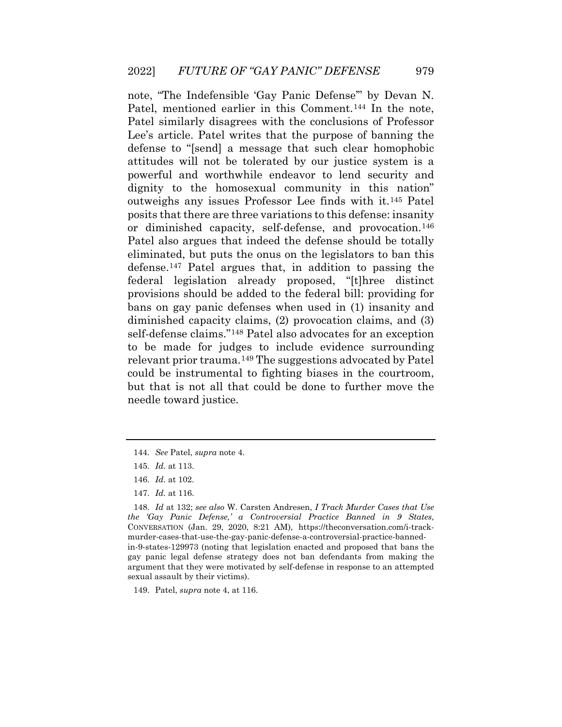Patel similarly disagrees with the conclusions of Professor defense to "[send] a message that such clear homophobic eliminated, but puts the onus on the legislators to ban this diminished capacity claims, (2) provocation claims, and (3) relevant prior trauma.[149](#page-26-1) The suggestions advocated by Patel note, "The Indefensible 'Gay Panic Defense'" by Devan N. Patel, mentioned earlier in this Comment.<sup>144</sup> In the note, Lee's article. Patel writes that the purpose of banning the attitudes will not be tolerated by our justice system is a powerful and worthwhile endeavor to lend security and dignity to the homosexual community in this nation" outweighs any issues Professor Lee finds with it.[145](#page-25-3) Patel posits that there are three variations to this defense: insanity or diminished capacity, self-defense, and provocation.[146](#page-25-4) Patel also argues that indeed the defense should be totally defense.[147](#page-25-5) Patel argues that, in addition to passing the federal legislation already proposed, "[t]hree distinct provisions should be added to the federal bill: providing for bans on gay panic defenses when used in (1) insanity and self-defense claims."[148](#page-26-0) Patel also advocates for an exception to be made for judges to include evidence surrounding could be instrumental to fighting biases in the courtroom, but that is not all that could be done to further move the needle toward justice.

<span id="page-25-5"></span><span id="page-25-4"></span>149. Patel, *supra* note 4, at 116.

<sup>144.</sup> *See* Patel, *supra* note 4.

 145. *Id.* at 113.

 146. *Id.* at 102.

 147. *Id.* at 116.

<span id="page-25-3"></span><span id="page-25-2"></span><span id="page-25-1"></span><span id="page-25-0"></span> 148. *Id* at 132; *see also* W. Carsten Andresen, *I Track Murder Cases that Use*  CONVERSATION (Jan. 29, 2020, 8:21 AM), <https://theconversation.com/i-track>- argument that they were motivated by self-defense in response to an attempted *the 'Gay Panic Defense,' a Controversial Practice Banned in 9 States*, murder-cases-that-use-the-gay-panic-defense-a-controversial-practice-bannedin-9-states-129973 (noting that legislation enacted and proposed that bans the gay panic legal defense strategy does not ban defendants from making the sexual assault by their victims).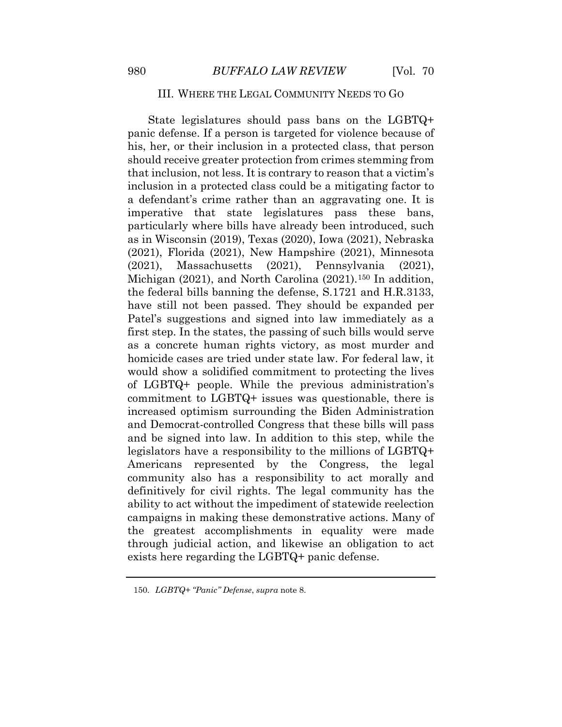#### III. WHERE THE LEGAL COMMUNITY NEEDS TO GO

 particularly where bills have already been introduced, such homicide cases are tried under state law. For federal law, it Americans represented by the Congress, the legal campaigns in making these demonstrative actions. Many of State legislatures should pass bans on the LGBTQ+ panic defense. If a person is targeted for violence because of his, her, or their inclusion in a protected class, that person should receive greater protection from crimes stemming from that inclusion, not less. It is contrary to reason that a victim's inclusion in a protected class could be a mitigating factor to a defendant's crime rather than an aggravating one. It is imperative that state legislatures pass these bans, as in Wisconsin (2019), Texas (2020), Iowa (2021), Nebraska (2021), Florida (2021), New Hampshire (2021), Minnesota (2021), Massachusetts (2021), Pennsylvania (2021), Michigan (2021), and North Carolina (2021).<sup>[150](#page-26-2)</sup> In addition, the federal bills banning the defense, S.1721 and H.R.3133, have still not been passed. They should be expanded per Patel's suggestions and signed into law immediately as a first step. In the states, the passing of such bills would serve as a concrete human rights victory, as most murder and would show a solidified commitment to protecting the lives of LGBTQ+ people. While the previous administration's commitment to LGBTQ+ issues was questionable, there is increased optimism surrounding the Biden Administration and Democrat-controlled Congress that these bills will pass and be signed into law. In addition to this step, while the legislators have a responsibility to the millions of LGBTQ+ community also has a responsibility to act morally and definitively for civil rights. The legal community has the ability to act without the impediment of statewide reelection the greatest accomplishments in equality were made through judicial action, and likewise an obligation to act exists here regarding the LGBTQ+ panic defense.

<span id="page-26-2"></span><span id="page-26-1"></span><span id="page-26-0"></span><sup>150.</sup> *LGBTQ+ "Panic" Defense*, *supra* note 8.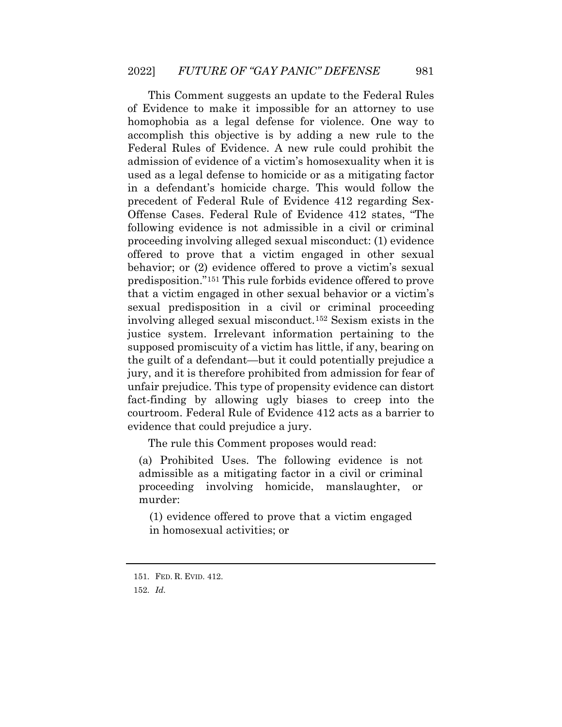in a defendant's homicide charge. This would follow the predisposition."[151](#page-27-0) This rule forbids evidence offered to prove supposed promiscuity of a victim has little, if any, bearing on unfair prejudice. This type of propensity evidence can distort This Comment suggests an update to the Federal Rules of Evidence to make it impossible for an attorney to use homophobia as a legal defense for violence. One way to accomplish this objective is by adding a new rule to the Federal Rules of Evidence. A new rule could prohibit the admission of evidence of a victim's homosexuality when it is used as a legal defense to homicide or as a mitigating factor precedent of Federal Rule of Evidence 412 regarding Sex-Offense Cases. Federal Rule of Evidence 412 states, "The following evidence is not admissible in a civil or criminal proceeding involving alleged sexual misconduct: (1) evidence offered to prove that a victim engaged in other sexual behavior; or (2) evidence offered to prove a victim's sexual that a victim engaged in other sexual behavior or a victim's sexual predisposition in a civil or criminal proceeding involving alleged sexual misconduct.[152](#page-27-1) Sexism exists in the justice system. Irrelevant information pertaining to the the guilt of a defendant—but it could potentially prejudice a jury, and it is therefore prohibited from admission for fear of fact-finding by allowing ugly biases to creep into the courtroom. Federal Rule of Evidence 412 acts as a barrier to evidence that could prejudice a jury.

The rule this Comment proposes would read:

 (a) Prohibited Uses. The following evidence is not admissible as a mitigating factor in a civil or criminal proceeding involving homicide, manslaughter, or murder:

(1) evidence offered to prove that a victim engaged in homosexual activities; or

<span id="page-27-1"></span><span id="page-27-0"></span><sup>151.</sup> FED. R. EVID. 412.

 152. *Id.*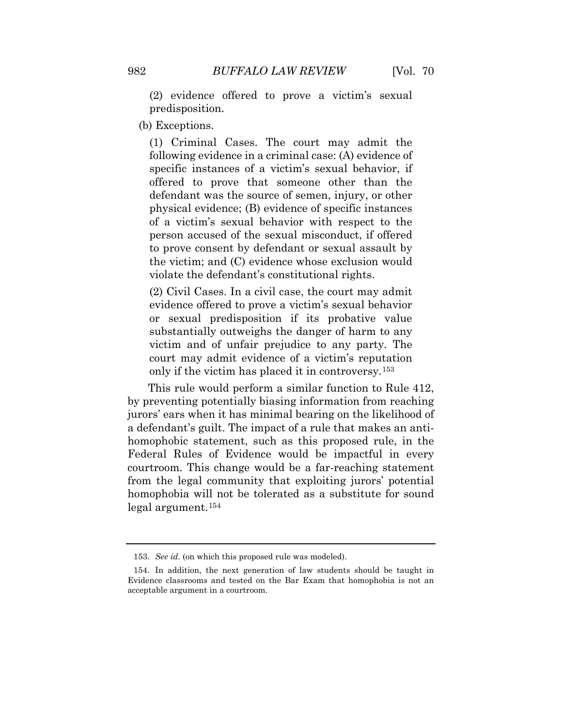(2) evidence offered to prove a victim's sexual predisposition.

(b) Exceptions.

 person accused of the sexual misconduct, if offered (1) Criminal Cases. The court may admit the following evidence in a criminal case: (A) evidence of specific instances of a victim's sexual behavior, if offered to prove that someone other than the defendant was the source of semen, injury, or other physical evidence; (B) evidence of specific instances of a victim's sexual behavior with respect to the to prove consent by defendant or sexual assault by the victim; and (C) evidence whose exclusion would violate the defendant's constitutional rights.

 (2) Civil Cases. In a civil case, the court may admit evidence offered to prove a victim's sexual behavior court may admit evidence of a victim's reputation or sexual predisposition if its probative value substantially outweighs the danger of harm to any victim and of unfair prejudice to any party. The only if the victim has placed it in controversy.[153](#page-29-0) 

 This rule would perform a similar function to Rule 412, homophobia will not be tolerated as a substitute for sound by preventing potentially biasing information from reaching jurors' ears when it has minimal bearing on the likelihood of a defendant's guilt. The impact of a rule that makes an antihomophobic statement, such as this proposed rule, in the Federal Rules of Evidence would be impactful in every courtroom. This change would be a far-reaching statement from the legal community that exploiting jurors' potential legal argument.[154](#page-29-1) 

<sup>153.</sup> *See id.* (on which this proposed rule was modeled).

<sup>154.</sup> In addition, the next generation of law students should be taught in Evidence classrooms and tested on the Bar Exam that homophobia is not an acceptable argument in a courtroom.